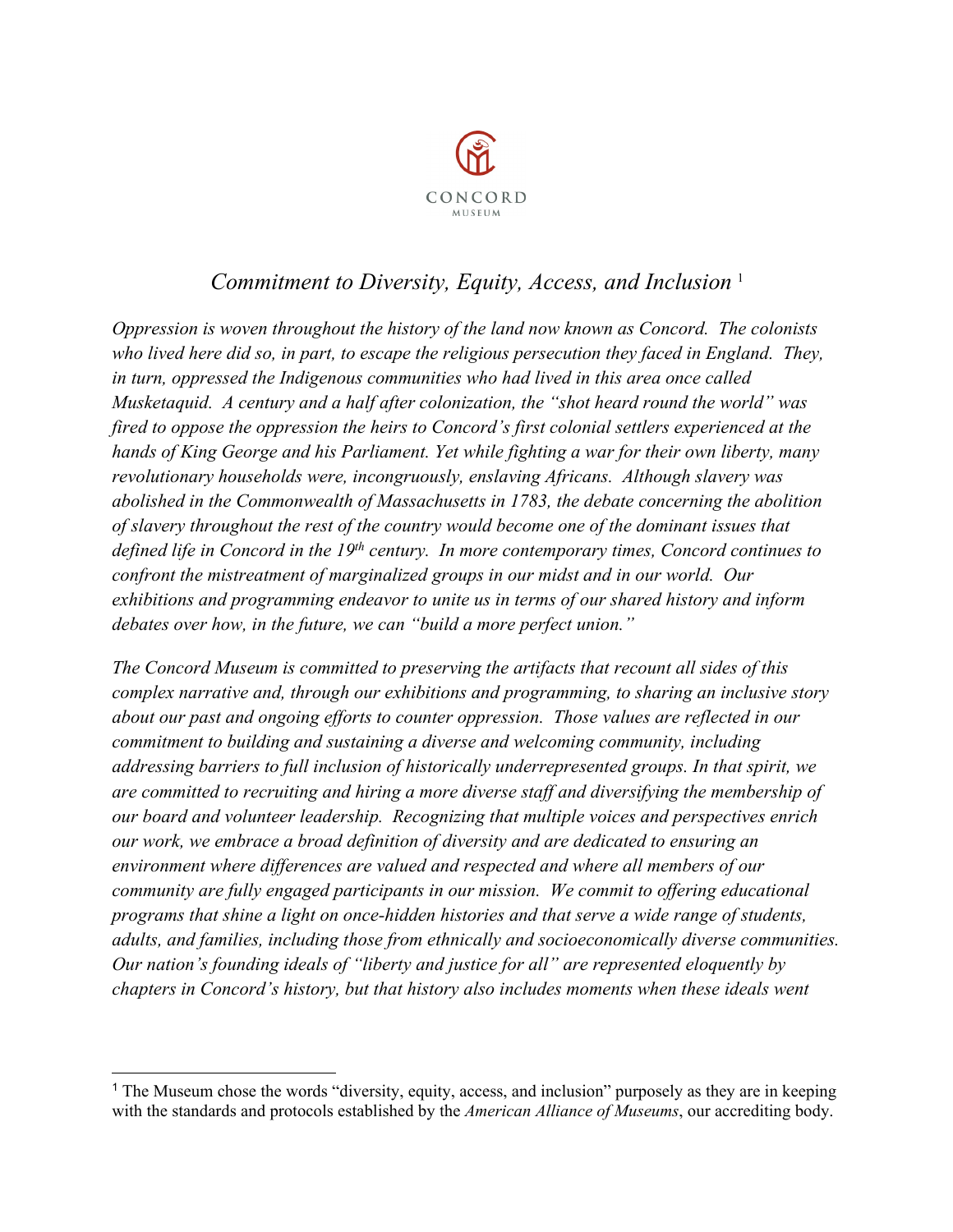

# *Commitment to Diversity, Equity, Access, and Inclusion* [1](#page-0-0)

*Oppression is woven throughout the history of the land now known as Concord. The colonists who lived here did so, in part, to escape the religious persecution they faced in England. They, in turn, oppressed the Indigenous communities who had lived in this area once called Musketaquid. A century and a half after colonization, the "shot heard round the world" was fired to oppose the oppression the heirs to Concord's first colonial settlers experienced at the hands of King George and his Parliament. Yet while fighting a war for their own liberty, many revolutionary households were, incongruously, enslaving Africans. Although slavery was abolished in the Commonwealth of Massachusetts in 1783, the debate concerning the abolition of slavery throughout the rest of the country would become one of the dominant issues that defined life in Concord in the 19th century. In more contemporary times, Concord continues to confront the mistreatment of marginalized groups in our midst and in our world. Our exhibitions and programming endeavor to unite us in terms of our shared history and inform debates over how, in the future, we can "build a more perfect union."* 

*The Concord Museum is committed to preserving the artifacts that recount all sides of this complex narrative and, through our exhibitions and programming, to sharing an inclusive story about our past and ongoing efforts to counter oppression. Those values are reflected in our commitment to building and sustaining a diverse and welcoming community, including addressing barriers to full inclusion of historically underrepresented groups. In that spirit, we are committed to recruiting and hiring a more diverse staff and diversifying the membership of our board and volunteer leadership. Recognizing that multiple voices and perspectives enrich our work, we embrace a broad definition of diversity and are dedicated to ensuring an environment where differences are valued and respected and where all members of our community are fully engaged participants in our mission. We commit to offering educational programs that shine a light on once-hidden histories and that serve a wide range of students, adults, and families, including those from ethnically and socioeconomically diverse communities. Our nation's founding ideals of "liberty and justice for all" are represented eloquently by chapters in Concord's history, but that history also includes moments when these ideals went* 

<span id="page-0-0"></span> $\ddot{\phantom{a}}$ <sup>1</sup> The Museum chose the words "diversity, equity, access, and inclusion" purposely as they are in keeping with the standards and protocols established by the *American Alliance of Museums*, our accrediting body.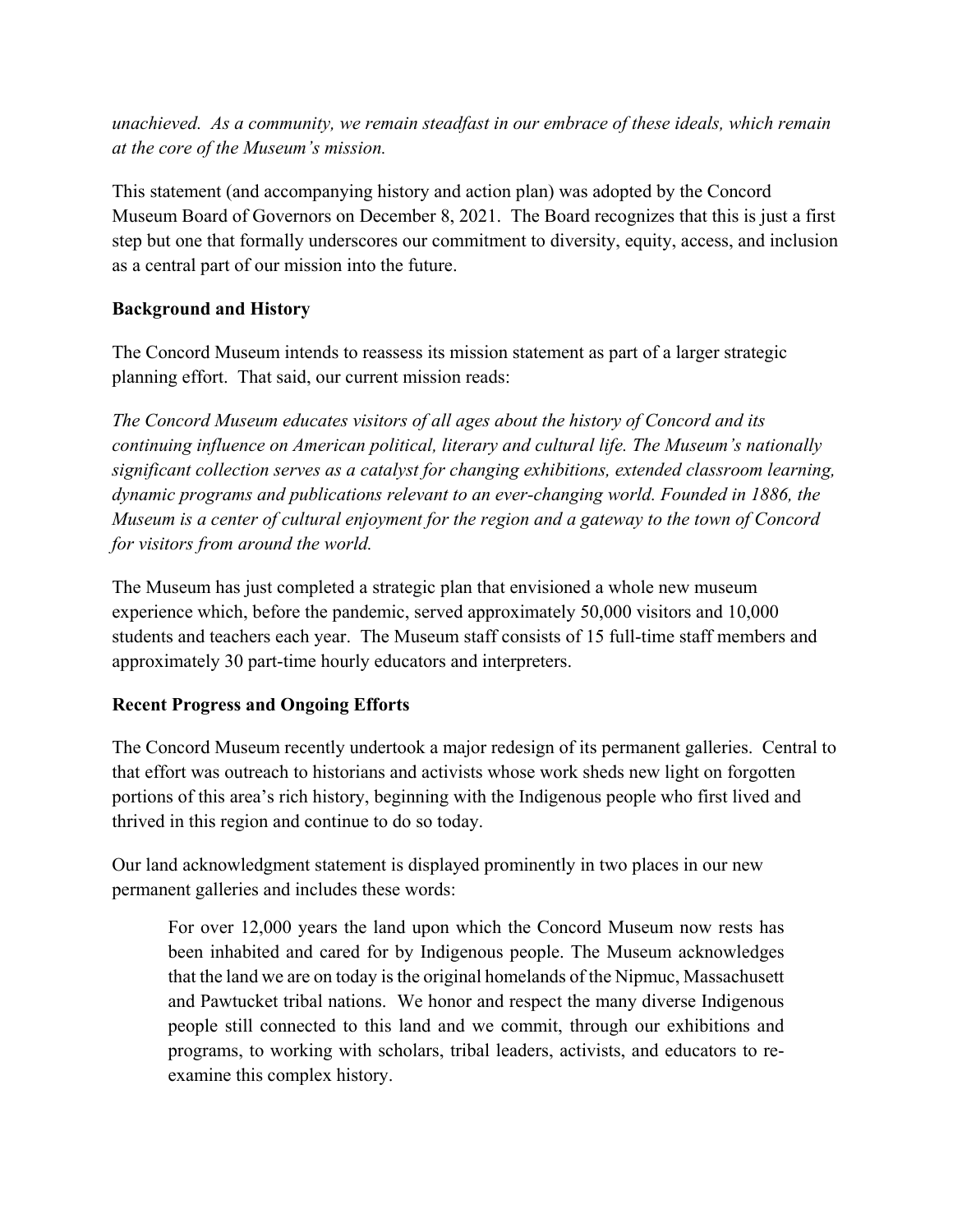*unachieved. As a community, we remain steadfast in our embrace of these ideals, which remain at the core of the Museum's mission.*

This statement (and accompanying history and action plan) was adopted by the Concord Museum Board of Governors on December 8, 2021. The Board recognizes that this is just a first step but one that formally underscores our commitment to diversity, equity, access, and inclusion as a central part of our mission into the future.

## **Background and History**

The Concord Museum intends to reassess its mission statement as part of a larger strategic planning effort. That said, our current mission reads:

*The Concord Museum educates visitors of all ages about the history of Concord and its continuing influence on American political, literary and cultural life. The Museum's nationally significant collection serves as a catalyst for changing exhibitions, extended classroom learning, dynamic programs and publications relevant to an ever-changing world. Founded in 1886, the Museum is a center of cultural enjoyment for the region and a gateway to the town of Concord for visitors from around the world.* 

The Museum has just completed a strategic plan that envisioned a whole new museum experience which, before the pandemic, served approximately 50,000 visitors and 10,000 students and teachers each year. The Museum staff consists of 15 full-time staff members and approximately 30 part-time hourly educators and interpreters.

# **Recent Progress and Ongoing Efforts**

The Concord Museum recently undertook a major redesign of its permanent galleries. Central to that effort was outreach to historians and activists whose work sheds new light on forgotten portions of this area's rich history, beginning with the Indigenous people who first lived and thrived in this region and continue to do so today.

Our land acknowledgment statement is displayed prominently in two places in our new permanent galleries and includes these words:

For over 12,000 years the land upon which the Concord Museum now rests has been inhabited and cared for by Indigenous people. The Museum acknowledges that the land we are on today is the original homelands of the Nipmuc, Massachusett and Pawtucket tribal nations. We honor and respect the many diverse Indigenous people still connected to this land and we commit, through our exhibitions and programs, to working with scholars, tribal leaders, activists, and educators to reexamine this complex history.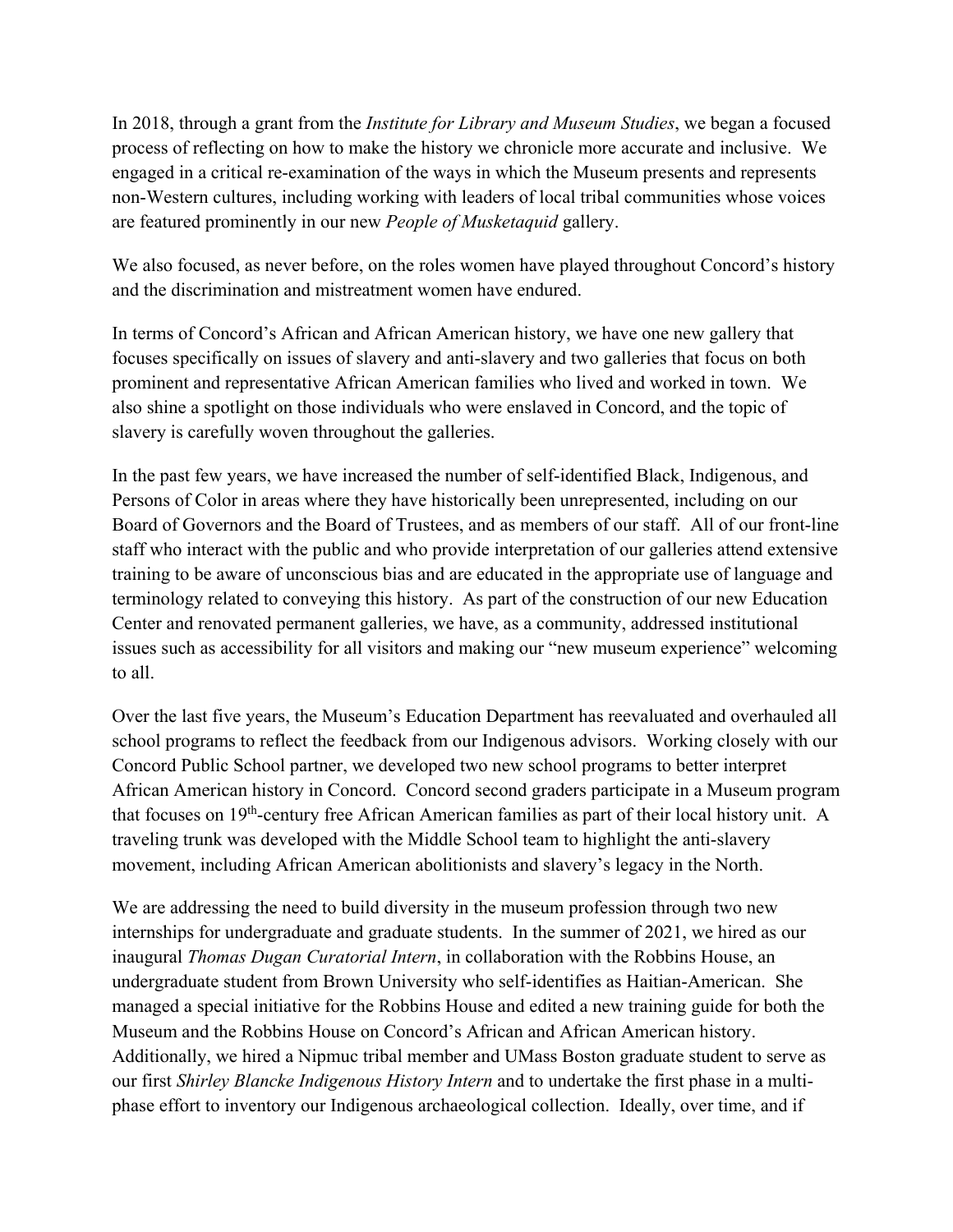In 2018, through a grant from the *Institute for Library and Museum Studies*, we began a focused process of reflecting on how to make the history we chronicle more accurate and inclusive. We engaged in a critical re-examination of the ways in which the Museum presents and represents non-Western cultures, including working with leaders of local tribal communities whose voices are featured prominently in our new *People of Musketaquid* gallery.

We also focused, as never before, on the roles women have played throughout Concord's history and the discrimination and mistreatment women have endured.

In terms of Concord's African and African American history, we have one new gallery that focuses specifically on issues of slavery and anti-slavery and two galleries that focus on both prominent and representative African American families who lived and worked in town. We also shine a spotlight on those individuals who were enslaved in Concord, and the topic of slavery is carefully woven throughout the galleries.

In the past few years, we have increased the number of self-identified Black, Indigenous, and Persons of Color in areas where they have historically been unrepresented, including on our Board of Governors and the Board of Trustees, and as members of our staff. All of our front-line staff who interact with the public and who provide interpretation of our galleries attend extensive training to be aware of unconscious bias and are educated in the appropriate use of language and terminology related to conveying this history. As part of the construction of our new Education Center and renovated permanent galleries, we have, as a community, addressed institutional issues such as accessibility for all visitors and making our "new museum experience" welcoming to all.

Over the last five years, the Museum's Education Department has reevaluated and overhauled all school programs to reflect the feedback from our Indigenous advisors. Working closely with our Concord Public School partner, we developed two new school programs to better interpret African American history in Concord. Concord second graders participate in a Museum program that focuses on 19th-century free African American families as part of their local history unit. A traveling trunk was developed with the Middle School team to highlight the anti-slavery movement, including African American abolitionists and slavery's legacy in the North.

We are addressing the need to build diversity in the museum profession through two new internships for undergraduate and graduate students. In the summer of 2021, we hired as our inaugural *Thomas Dugan Curatorial Intern*, in collaboration with the Robbins House, an undergraduate student from Brown University who self-identifies as Haitian-American. She managed a special initiative for the Robbins House and edited a new training guide for both the Museum and the Robbins House on Concord's African and African American history. Additionally, we hired a Nipmuc tribal member and UMass Boston graduate student to serve as our first *Shirley Blancke Indigenous History Intern* and to undertake the first phase in a multiphase effort to inventory our Indigenous archaeological collection. Ideally, over time, and if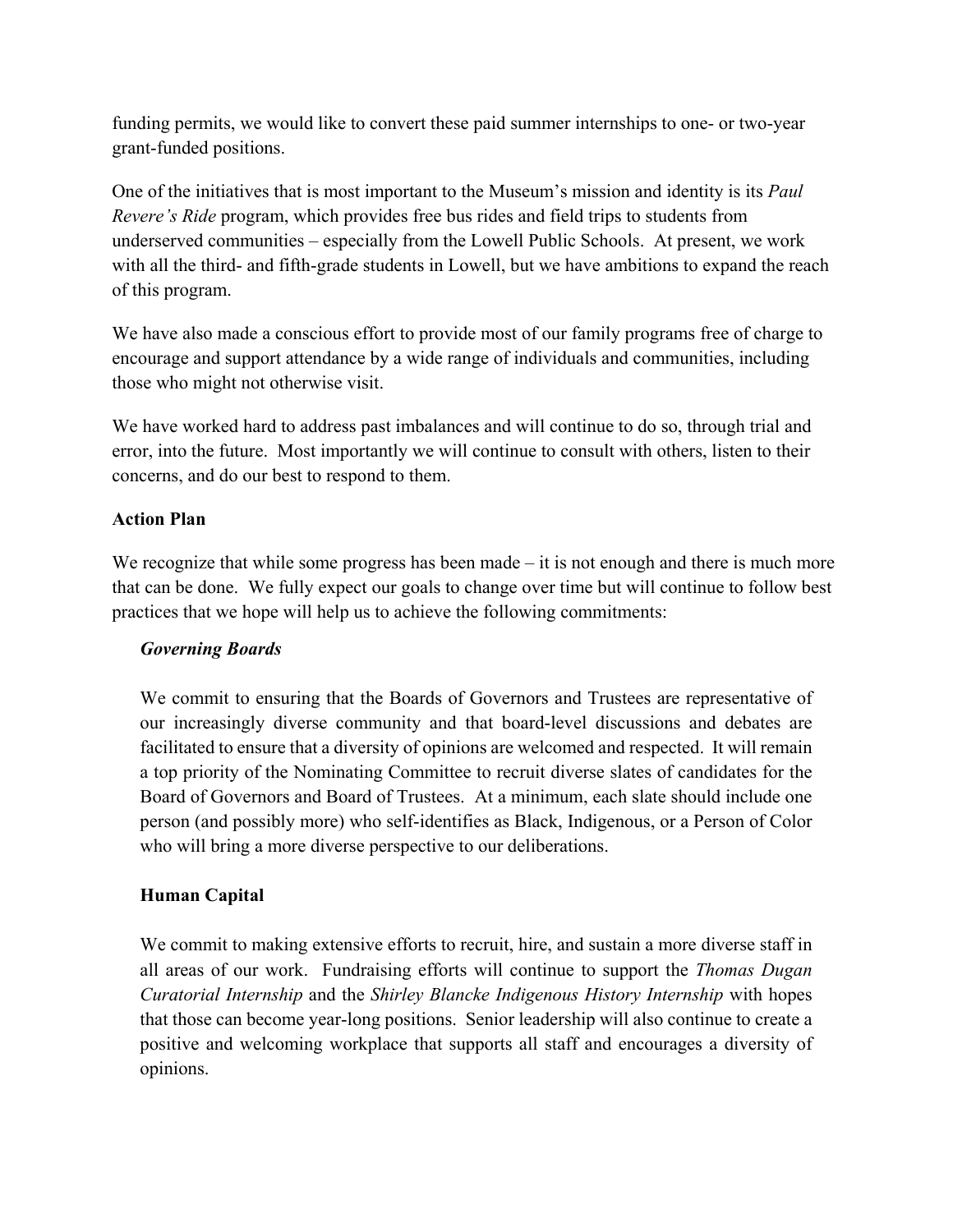funding permits, we would like to convert these paid summer internships to one- or two-year grant-funded positions.

One of the initiatives that is most important to the Museum's mission and identity is its *Paul Revere's Ride* program, which provides free bus rides and field trips to students from underserved communities – especially from the Lowell Public Schools. At present, we work with all the third- and fifth-grade students in Lowell, but we have ambitions to expand the reach of this program.

We have also made a conscious effort to provide most of our family programs free of charge to encourage and support attendance by a wide range of individuals and communities, including those who might not otherwise visit.

We have worked hard to address past imbalances and will continue to do so, through trial and error, into the future. Most importantly we will continue to consult with others, listen to their concerns, and do our best to respond to them.

## **Action Plan**

We recognize that while some progress has been made – it is not enough and there is much more that can be done. We fully expect our goals to change over time but will continue to follow best practices that we hope will help us to achieve the following commitments:

### *Governing Boards*

We commit to ensuring that the Boards of Governors and Trustees are representative of our increasingly diverse community and that board-level discussions and debates are facilitated to ensure that a diversity of opinions are welcomed and respected. It will remain a top priority of the Nominating Committee to recruit diverse slates of candidates for the Board of Governors and Board of Trustees. At a minimum, each slate should include one person (and possibly more) who self-identifies as Black, Indigenous, or a Person of Color who will bring a more diverse perspective to our deliberations.

# **Human Capital**

We commit to making extensive efforts to recruit, hire, and sustain a more diverse staff in all areas of our work. Fundraising efforts will continue to support the *Thomas Dugan Curatorial Internship* and the *Shirley Blancke Indigenous History Internship* with hopes that those can become year-long positions. Senior leadership will also continue to create a positive and welcoming workplace that supports all staff and encourages a diversity of opinions.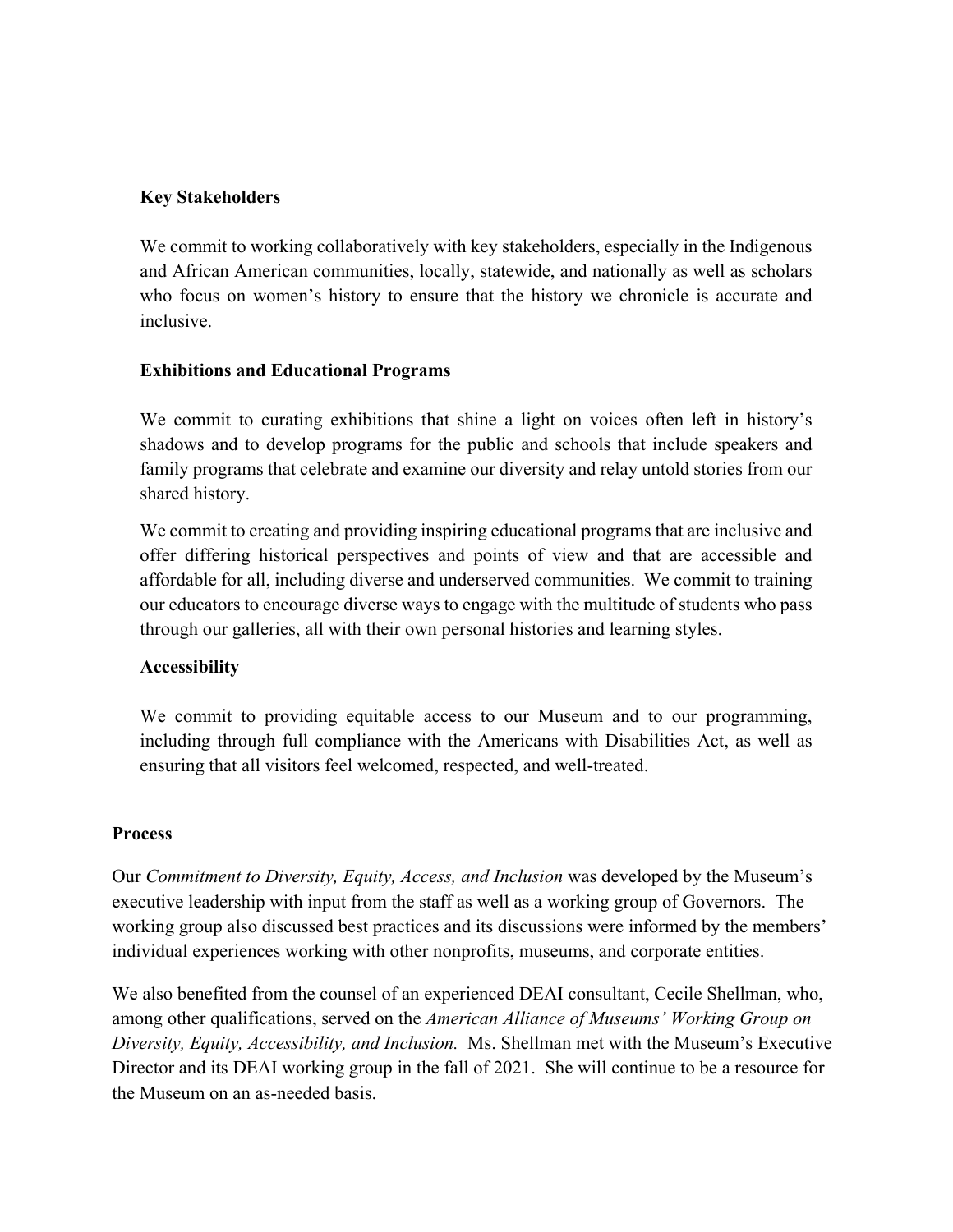#### **Key Stakeholders**

We commit to working collaboratively with key stakeholders, especially in the Indigenous and African American communities, locally, statewide, and nationally as well as scholars who focus on women's history to ensure that the history we chronicle is accurate and inclusive.

#### **Exhibitions and Educational Programs**

We commit to curating exhibitions that shine a light on voices often left in history's shadows and to develop programs for the public and schools that include speakers and family programs that celebrate and examine our diversity and relay untold stories from our shared history.

We commit to creating and providing inspiring educational programs that are inclusive and offer differing historical perspectives and points of view and that are accessible and affordable for all, including diverse and underserved communities. We commit to training our educators to encourage diverse ways to engage with the multitude of students who pass through our galleries, all with their own personal histories and learning styles.

### **Accessibility**

We commit to providing equitable access to our Museum and to our programming, including through full compliance with the Americans with Disabilities Act, as well as ensuring that all visitors feel welcomed, respected, and well-treated.

#### **Process**

Our *Commitment to Diversity, Equity, Access, and Inclusion* was developed by the Museum's executive leadership with input from the staff as well as a working group of Governors. The working group also discussed best practices and its discussions were informed by the members' individual experiences working with other nonprofits, museums, and corporate entities.

We also benefited from the counsel of an experienced DEAI consultant, Cecile Shellman, who, among other qualifications, served on the *American Alliance of Museums' Working Group on Diversity, Equity, Accessibility, and Inclusion.* Ms. Shellman met with the Museum's Executive Director and its DEAI working group in the fall of 2021. She will continue to be a resource for the Museum on an as-needed basis.